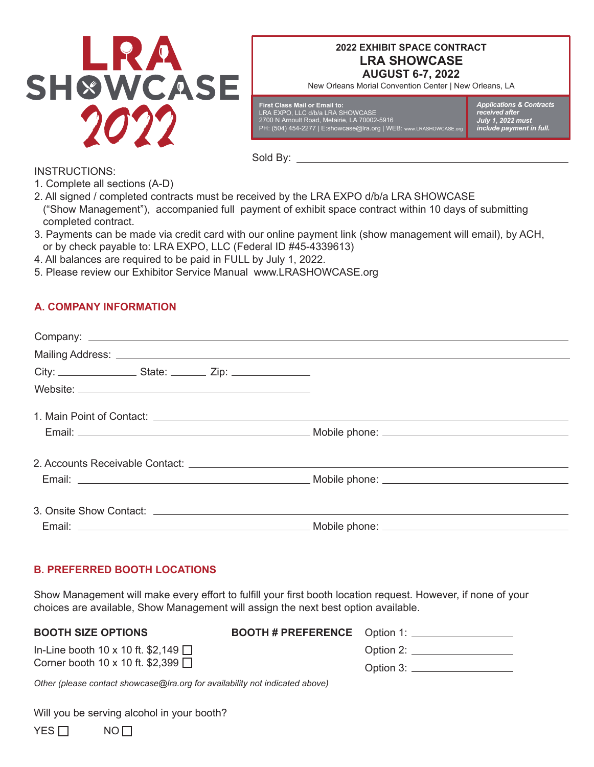

# **AUGUST 6-7, 2022 2022 EXHIBIT SPACE CONTRACT LRA SHOWCASE**

New Orleans Morial Convention Center | New Orleans, LA

| First Class Mail or Email to:                                      |  |
|--------------------------------------------------------------------|--|
| LRA EXPO. LLC d/b/a LRA SHOWCASE                                   |  |
| 2700 N Arnoult Road. Metairie. LA 70002-5916                       |  |
| PH: (504) 454-2277   E:showcase@Ira.org   WEB: www.LRASHOWCASE.org |  |
|                                                                    |  |

*Applications & Contracts received after July 1, 2022 must include payment in full.*

INSTRUCTIONS:

1. Complete all sections (A-D)

2. All signed / completed contracts must be received by the LRA EXPO d/b/a LRA SHOWCASE ("Show Management"), accompanied full payment of exhibit space contract within 10 days of submitting completed contract.

Sold By:

- 3. Payments can be made via credit card with our online payment link (show management will email), by ACH, or by check payable to: LRA EXPO, LLC (Federal ID #45-4339613)
- 4. All balances are required to be paid in FULL by July 1, 2022.
- 5. Please review our Exhibitor Service Manual www.LRASHOWCASE.org

# **A. COMPANY INFORMATION**

# **B. PREFERRED BOOTH LOCATIONS**

Show Management will make every effort to fulfill your first booth location request. However, if none of your choices are available, Show Management will assign the next best option available.

### **BOOTH SIZE OPTIONS**

**BOOTH # PREFERENCE** 

|  |  | In-Line booth 10 x 10 ft. \$2,149 $\Box$ |  |
|--|--|------------------------------------------|--|
|  |  | Corner booth 10 x 10 ft. \$2,399 $\Box$  |  |

| Option 1: $\overline{\phantom{0}}$ |  |
|------------------------------------|--|
| Option 2:                          |  |
| Option 3:                          |  |

*Other (please contact showcase@lra.org for availability not indicated above)*

Will you be serving alcohol in your booth?

 $YES \Box$  NO $\Pi$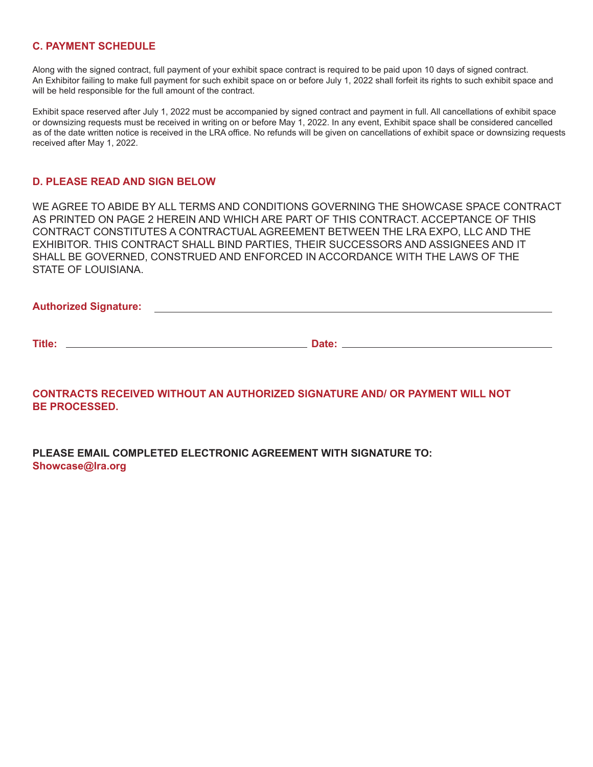### **C. PAYMENT SCHEDULE**

Along with the signed contract, full payment of your exhibit space contract is required to be paid upon 10 days of signed contract. An Exhibitor failing to make full payment for such exhibit space on or before July 1, 2022 shall forfeit its rights to such exhibit space and will be held responsible for the full amount of the contract.

Exhibit space reserved after July 1, 2022 must be accompanied by signed contract and payment in full. All cancellations of exhibit space or downsizing requests must be received in writing on or before May 1, 2022. In any event, Exhibit space shall be considered cancelled as of the date written notice is received in the LRA office. No refunds will be given on cancellations of exhibit space or downsizing requests received after May 1, 2022.

### **D. PLEASE READ AND SIGN BELOW**

WE AGREE TO ABIDE BY ALL TERMS AND CONDITIONS GOVERNING THE SHOWCASE SPACE CONTRACT AS PRINTED ON PAGE 2 HEREIN AND WHICH ARE PART OF THIS CONTRACT. ACCEPTANCE OF THIS CONTRACT CONSTITUTES A CONTRACTUAL AGREEMENT BETWEEN THE LRA EXPO, LLC AND THE EXHIBITOR. THIS CONTRACT SHALL BIND PARTIES, THEIR SUCCESSORS AND ASSIGNEES AND IT SHALL BE GOVERNED, CONSTRUED AND ENFORCED IN ACCORDANCE WITH THE LAWS OF THE STATE OF LOUISIANA.

### **Authorized Signature:**

**Title: Date:** 

**CONTRACTS RECEIVED WITHOUT AN AUTHORIZED SIGNATURE AND/ OR PAYMENT WILL NOT BE PROCESSED.**

**PLEASE EMAIL COMPLETED ELECTRONIC AGREEMENT WITH SIGNATURE TO: Showcase@lra.org**